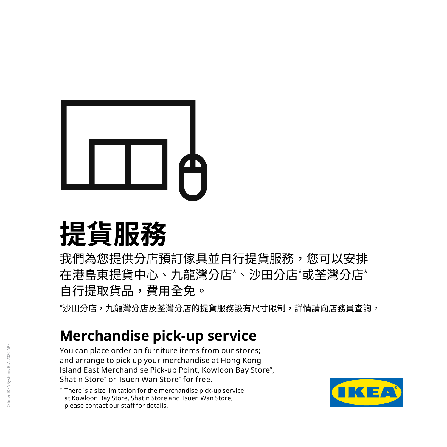

# **提貨服務**

我們為您提供分店預訂傢具並自行提貨服務,您可以安排 在港島東提貨中心、九龍灣分店\* 、沙田分店\* 或荃灣分店\* 自行提取貨品,費用全免。

\*沙田分店,九龍灣分店及荃灣分店的提貨服務設有尺寸限制,詳情請向店務員查詢。<br>-

## **Merchandise pick-up service**

You can place order on furniture items from our stores; and arrange to pick up your merchandise at Hong Kong Island East Merchandise Pick-up Point, Kowloon Bay Store\* , Shatin Store\* or Tsuen Wan Store\* for free.



<sup>\*</sup> There is a size limitation for the merchandise pick-up service at Kowloon Bay Store, Shatin Store and Tsuen Wan Store, please contact our staff for details.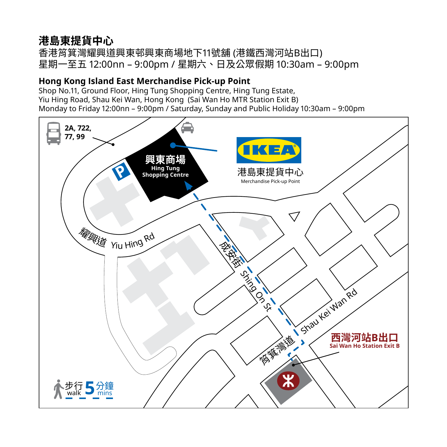## **港島東提貨中心**

香港筲箕灣耀興道興東邨興東商場地下11號舖 (港鐵西灣河站B出口) 星期一至五 12:00nn – 9:00pm / 星期六、日及公眾假期 10:30am – 9:00pm

#### **Hong Kong Island East Merchandise Pick-up Point**

Shop No.11, Ground Floor, Hing Tung Shopping Centre, Hing Tung Estate, Yiu Hing Road, Shau Kei Wan, Hong Kong (Sai Wan Ho MTR Station Exit B) Monday to Friday 12:00nn – 9:00pm / Saturday, Sunday and Public Holiday 10:30am – 9:00pm

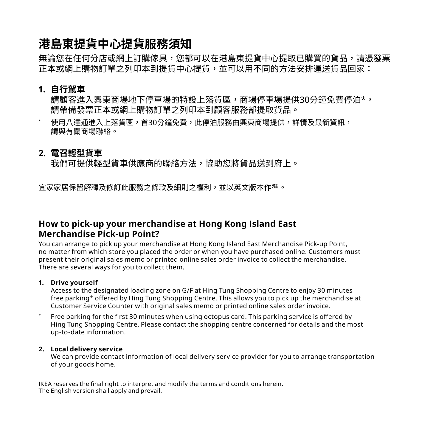## **港島東提貨中心提貨服務須知**

無論您在任何分店或網上訂購傢具,您都可以在港島東提貨中心提取已購買的貨品,請憑發票 正本或網上購物訂單之列印本到提貨中心提貨,並可以用不同的方法安排運送貨品回家:

#### **1. 自行駕車**

請顧客進入興東商場地下停車場的特設上落貨區,商場停車場提供30分鐘免費停泊\*, 請帶備發票正本或網上購物訂單之列印本到顧客服務部提取貨品。

使用八達通進入上落貨區,首30分鐘免費,此停泊服務由興東商場提供,詳情及最新資訊, 請與有關商場聯絡。

#### **2. 電召輕型貨車**

我們可提供輕型貨車供應商的聯絡方法,協助您將貨品送到府上。

宜家家居保留解釋及修訂此服務之條款及細則之權利,並以英文版本作準。

#### **How to pick-up your merchandise at Hong Kong Island East Merchandise Pick-up Point?**

You can arrange to pick up your merchandise at Hong Kong Island East Merchandise Pick-up Point, no matter from which store you placed the order or when you have purchased online. Customers must present their original sales memo or printed online sales order invoice to collect the merchandise. There are several ways for you to collect them.

#### **1. Drive yourself**

Access to the designated loading zone on G/F at Hing Tung Shopping Centre to enjoy 30 minutes free parking\* offered by Hing Tung Shopping Centre. This allows you to pick up the merchandise at Customer Service Counter with original sales memo or printed online sales order invoice.

Free parking for the first 30 minutes when using octopus card. This parking service is offered by Hing Tung Shopping Centre. Please contact the shopping centre concerned for details and the most up-to-date information.

#### **2. Local delivery service**

We can provide contact information of local delivery service provider for you to arrange transportation of your goods home.

IKEA reserves the final right to interpret and modify the terms and conditions herein. The English version shall apply and prevail.